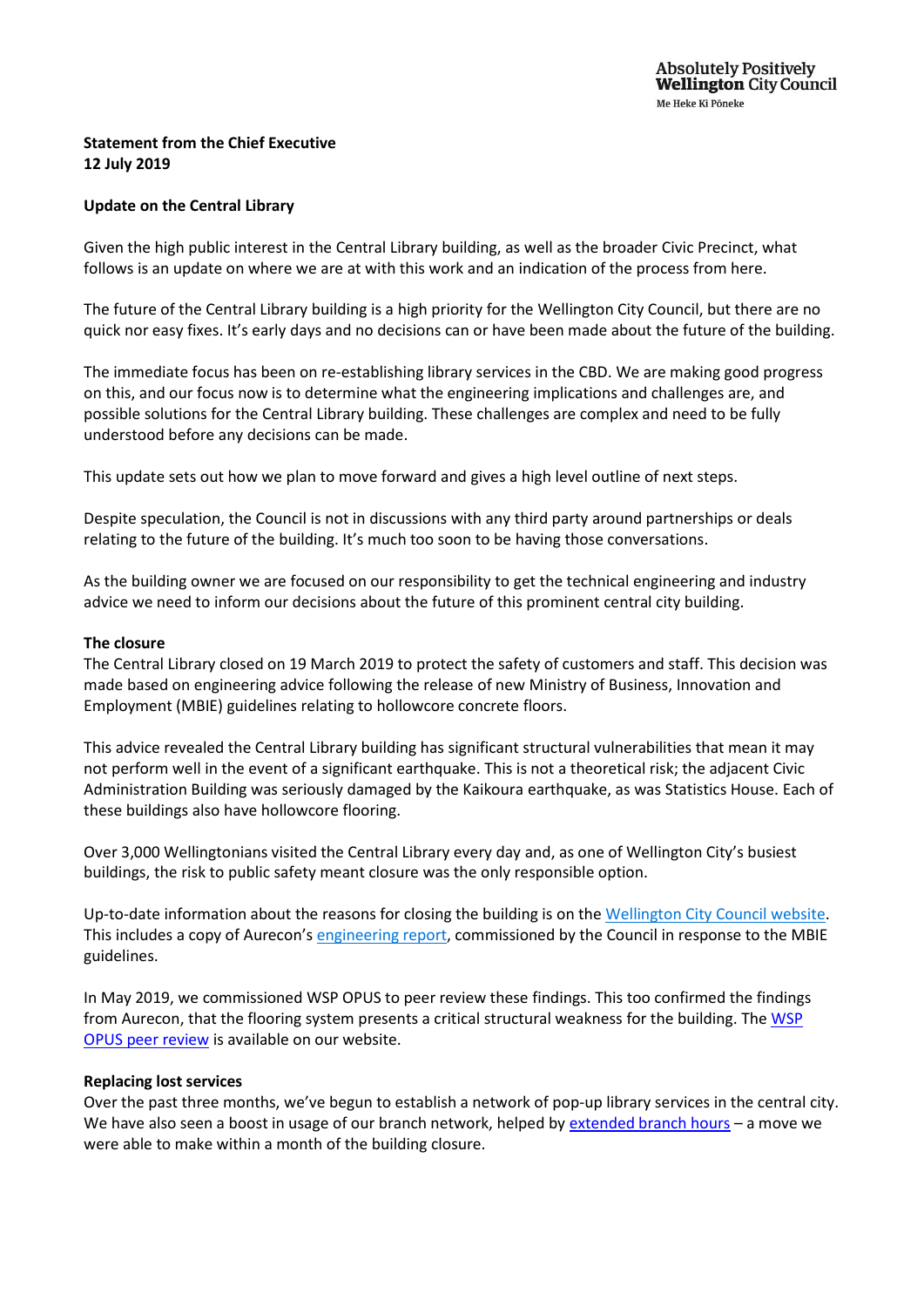# **Statement from the Chief Executive 12 July 2019**

## **Update on the Central Library**

Given the high public interest in the Central Library building, as well as the broader Civic Precinct, what follows is an update on where we are at with this work and an indication of the process from here.

The future of the Central Library building is a high priority for the Wellington City Council, but there are no quick nor easy fixes. It's early days and no decisions can or have been made about the future of the building.

The immediate focus has been on re-establishing library services in the CBD. We are making good progress on this, and our focus now is to determine what the engineering implications and challenges are, and possible solutions for the Central Library building. These challenges are complex and need to be fully understood before any decisions can be made.

This update sets out how we plan to move forward and gives a high level outline of next steps.

Despite speculation, the Council is not in discussions with any third party around partnerships or deals relating to the future of the building. It's much too soon to be having those conversations.

As the building owner we are focused on our responsibility to get the technical engineering and industry advice we need to inform our decisions about the future of this prominent central city building.

#### **The closure**

The Central Library closed on 19 March 2019 to protect the safety of customers and staff. This decision was made based on engineering advice following the release of new Ministry of Business, Innovation and Employment (MBIE) guidelines relating to hollowcore concrete floors.

This advice revealed the Central Library building has significant structural vulnerabilities that mean it may not perform well in the event of a significant earthquake. This is not a theoretical risk; the adjacent Civic Administration Building was seriously damaged by the Kaikoura earthquake, as was Statistics House. Each of these buildings also have hollowcore flooring.

Over 3,000 Wellingtonians visited the Central Library every day and, as one of Wellington City's busiest buildings, the risk to public safety meant closure was the only responsible option.

Up-to-date information about the reasons for closing the building is on the [Wellington City Council website.](https://wellington.govt.nz/services/community-and-culture/libraries/central-library-closure) This includes a copy of Aurecon's [engineering report,](https://wellington.govt.nz/services/community-and-culture/libraries/central-library-closure) commissioned by the Council in response to the MBIE guidelines.

In May 2019, we commissioned WSP OPUS to peer review these findings. This too confirmed the findings from Aurecon, that the flooring system presents a critical structural weakness for the building. Th[e WSP](https://wellington.govt.nz/services/community-and-culture/libraries/central-library-closure)  [OPUS peer review](https://wellington.govt.nz/services/community-and-culture/libraries/central-library-closure) is available on our website.

### **Replacing lost services**

Over the past three months, we've begun to establish a network of pop-up library services in the central city. We have also seen a boost in usage of our branch network, helped by [extended branch hours](https://wellington.govt.nz/your-council/news/2019/04/longer-library-hours-to-meet-demand) – a move we were able to make within a month of the building closure.